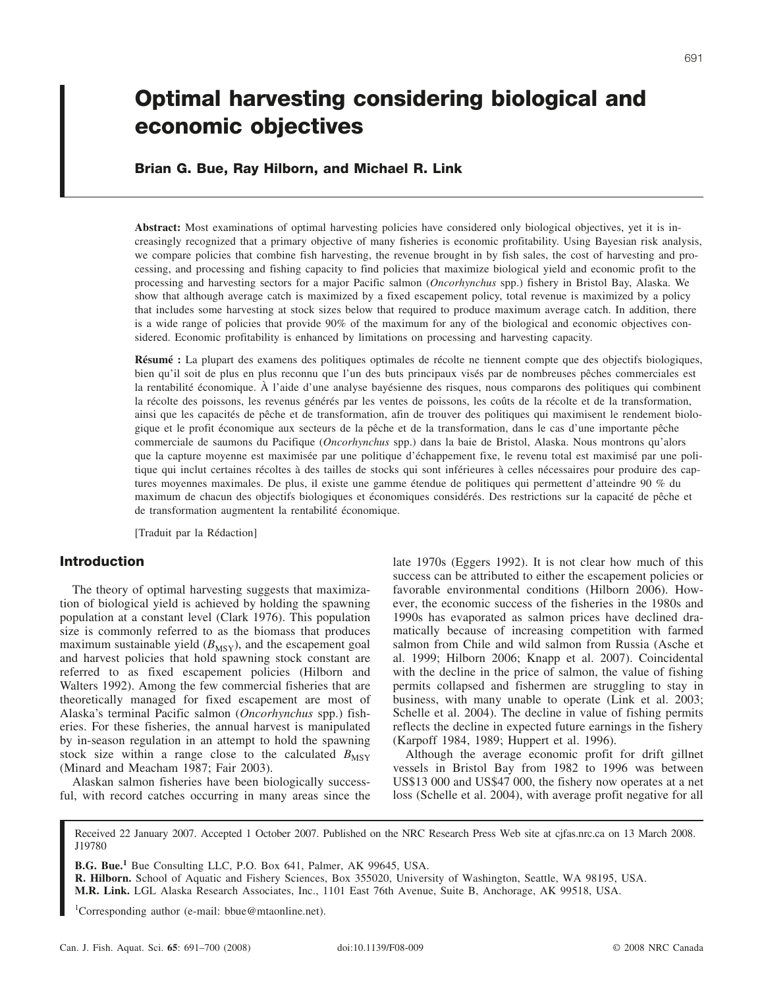# **Optimal harvesting considering biological and economic objectives**

# **Brian G. Bue, Ray Hilborn, and Michael R. Link**

**Abstract:** Most examinations of optimal harvesting policies have considered only biological objectives, yet it is increasingly recognized that a primary objective of many fisheries is economic profitability. Using Bayesian risk analysis, we compare policies that combine fish harvesting, the revenue brought in by fish sales, the cost of harvesting and processing, and processing and fishing capacity to find policies that maximize biological yield and economic profit to the processing and harvesting sectors for a major Pacific salmon (*Oncorhynchus* spp.) fishery in Bristol Bay, Alaska. We show that although average catch is maximized by a fixed escapement policy, total revenue is maximized by a policy that includes some harvesting at stock sizes below that required to produce maximum average catch. In addition, there is a wide range of policies that provide 90% of the maximum for any of the biological and economic objectives considered. Economic profitability is enhanced by limitations on processing and harvesting capacity.

**Résumé :** La plupart des examens des politiques optimales de récolte ne tiennent compte que des objectifs biologiques, bien qu'il soit de plus en plus reconnu que l'un des buts principaux visés par de nombreuses pêches commerciales est la rentabilité économique. À l'aide d'une analyse bayésienne des risques, nous comparons des politiques qui combinent la récolte des poissons, les revenus générés par les ventes de poissons, les coûts de la récolte et de la transformation, ainsi que les capacités de pêche et de transformation, afin de trouver des politiques qui maximisent le rendement biologique et le profit économique aux secteurs de la pêche et de la transformation, dans le cas d'une importante pêche commerciale de saumons du Pacifique (*Oncorhynchus* spp.) dans la baie de Bristol, Alaska. Nous montrons qu'alors que la capture moyenne est maximisée par une politique d'échappement fixe, le revenu total est maximisé par une politique qui inclut certaines récoltes à des tailles de stocks qui sont inférieures à celles nécessaires pour produire des captures moyennes maximales. De plus, il existe une gamme étendue de politiques qui permettent d'atteindre 90 % du maximum de chacun des objectifs biologiques et économiques considérés. Des restrictions sur la capacité de pêche et de transformation augmentent la rentabilité économique.

[Traduit par la Rédaction]

# **Introduction**

The theory of optimal harvesting suggests that maximization of biological yield is achieved by holding the spawning population at a constant level (Clark 1976). This population size is commonly referred to as the biomass that produces maximum sustainable yield  $(B_{\text{MSY}})$ , and the escapement goal and harvest policies that hold spawning stock constant are referred to as fixed escapement policies (Hilborn and Walters 1992). Among the few commercial fisheries that are theoretically managed for fixed escapement are most of Alaska's terminal Pacific salmon (*Oncorhynchus* spp.) fisheries. For these fisheries, the annual harvest is manipulated by in-season regulation in an attempt to hold the spawning stock size within a range close to the calculated  $B_{\text{MSY}}$ (Minard and Meacham 1987; Fair 2003).

Alaskan salmon fisheries have been biologically successful, with record catches occurring in many areas since the late 1970s (Eggers 1992). It is not clear how much of this success can be attributed to either the escapement policies or favorable environmental conditions (Hilborn 2006). However, the economic success of the fisheries in the 1980s and 1990s has evaporated as salmon prices have declined dramatically because of increasing competition with farmed salmon from Chile and wild salmon from Russia (Asche et al. 1999; Hilborn 2006; Knapp et al. 2007). Coincidental with the decline in the price of salmon, the value of fishing permits collapsed and fishermen are struggling to stay in business, with many unable to operate (Link et al. 2003; Schelle et al. 2004). The decline in value of fishing permits reflects the decline in expected future earnings in the fishery (Karpoff 1984, 1989; Huppert et al. 1996).

Although the average economic profit for drift gillnet vessels in Bristol Bay from 1982 to 1996 was between US\$13 000 and US\$47 000, the fishery now operates at a net loss (Schelle et al. 2004), with average profit negative for all

Received 22 January 2007. Accepted 1 October 2007. Published on the NRC Research Press Web site at cjfas.nrc.ca on 13 March 2008. J19780

**B.G. Bue.<sup>1</sup>** Bue Consulting LLC, P.O. Box 641, Palmer, AK 99645, USA. **R. Hilborn.** School of Aquatic and Fishery Sciences, Box 355020, University of Washington, Seattle, WA 98195, USA. **M.R. Link.** LGL Alaska Research Associates, Inc., 1101 East 76th Avenue, Suite B, Anchorage, AK 99518, USA.

1 Corresponding author (e-mail: bbue@mtaonline.net).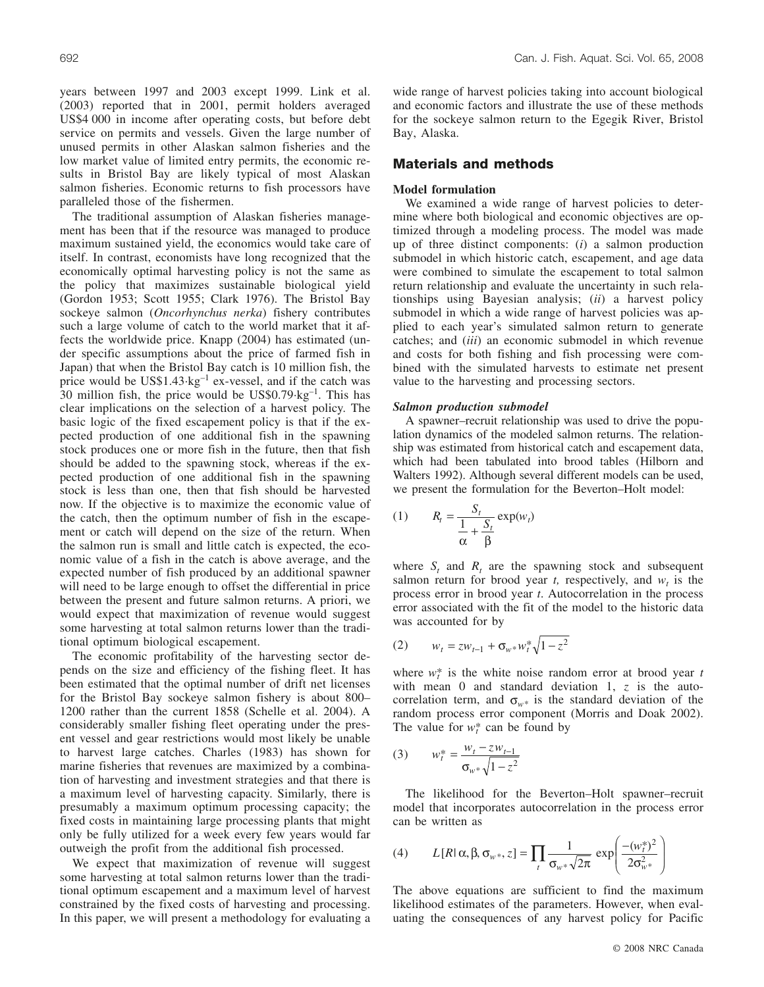years between 1997 and 2003 except 1999. Link et al. (2003) reported that in 2001, permit holders averaged US\$4 000 in income after operating costs, but before debt service on permits and vessels. Given the large number of unused permits in other Alaskan salmon fisheries and the low market value of limited entry permits, the economic results in Bristol Bay are likely typical of most Alaskan salmon fisheries. Economic returns to fish processors have paralleled those of the fishermen.

The traditional assumption of Alaskan fisheries management has been that if the resource was managed to produce maximum sustained yield, the economics would take care of itself. In contrast, economists have long recognized that the economically optimal harvesting policy is not the same as the policy that maximizes sustainable biological yield (Gordon 1953; Scott 1955; Clark 1976). The Bristol Bay sockeye salmon (*Oncorhynchus nerka*) fishery contributes such a large volume of catch to the world market that it affects the worldwide price. Knapp (2004) has estimated (under specific assumptions about the price of farmed fish in Japan) that when the Bristol Bay catch is 10 million fish, the price would be US\$1.43·kg–1 ex-vessel, and if the catch was 30 million fish, the price would be US\$0.79·kg–1. This has clear implications on the selection of a harvest policy. The basic logic of the fixed escapement policy is that if the expected production of one additional fish in the spawning stock produces one or more fish in the future, then that fish should be added to the spawning stock, whereas if the expected production of one additional fish in the spawning stock is less than one, then that fish should be harvested now. If the objective is to maximize the economic value of the catch, then the optimum number of fish in the escapement or catch will depend on the size of the return. When the salmon run is small and little catch is expected, the economic value of a fish in the catch is above average, and the expected number of fish produced by an additional spawner will need to be large enough to offset the differential in price between the present and future salmon returns. A priori, we would expect that maximization of revenue would suggest some harvesting at total salmon returns lower than the traditional optimum biological escapement.

The economic profitability of the harvesting sector depends on the size and efficiency of the fishing fleet. It has been estimated that the optimal number of drift net licenses for the Bristol Bay sockeye salmon fishery is about 800– 1200 rather than the current 1858 (Schelle et al. 2004). A considerably smaller fishing fleet operating under the present vessel and gear restrictions would most likely be unable to harvest large catches. Charles (1983) has shown for marine fisheries that revenues are maximized by a combination of harvesting and investment strategies and that there is a maximum level of harvesting capacity. Similarly, there is presumably a maximum optimum processing capacity; the fixed costs in maintaining large processing plants that might only be fully utilized for a week every few years would far outweigh the profit from the additional fish processed.

We expect that maximization of revenue will suggest some harvesting at total salmon returns lower than the traditional optimum escapement and a maximum level of harvest constrained by the fixed costs of harvesting and processing. In this paper, we will present a methodology for evaluating a wide range of harvest policies taking into account biological and economic factors and illustrate the use of these methods for the sockeye salmon return to the Egegik River, Bristol Bay, Alaska.

# **Materials and methods**

#### **Model formulation**

We examined a wide range of harvest policies to determine where both biological and economic objectives are optimized through a modeling process. The model was made up of three distinct components: (*i*) a salmon production submodel in which historic catch, escapement, and age data were combined to simulate the escapement to total salmon return relationship and evaluate the uncertainty in such relationships using Bayesian analysis; (*ii*) a harvest policy submodel in which a wide range of harvest policies was applied to each year's simulated salmon return to generate catches; and (*iii*) an economic submodel in which revenue and costs for both fishing and fish processing were combined with the simulated harvests to estimate net present value to the harvesting and processing sectors.

#### *Salmon production submodel*

A spawner–recruit relationship was used to drive the population dynamics of the modeled salmon returns. The relationship was estimated from historical catch and escapement data, which had been tabulated into brood tables (Hilborn and Walters 1992). Although several different models can be used, we present the formulation for the Beverton–Holt model:

(1) 
$$
R_t = \frac{S_t}{\frac{1}{\alpha} + \frac{S_t}{\beta}} \exp(w_t)
$$

where  $S_t$  and  $R_t$  are the spawning stock and subsequent salmon return for brood year  $t$ , respectively, and  $w_t$  is the process error in brood year *t*. Autocorrelation in the process error associated with the fit of the model to the historic data was accounted for by

(2) 
$$
w_t = zw_{t-1} + \sigma_{w^*} w_t^* \sqrt{1 - z^2}
$$

where  $w_t^*$  is the white noise random error at brood year  $t$ with mean 0 and standard deviation 1, *z* is the autocorrelation term, and  $\sigma_{w^*}$  is the standard deviation of the random process error component (Morris and Doak 2002). The value for  $w_t^*$  can be found by

(3) 
$$
w_t^* = \frac{w_t - z w_{t-1}}{\sigma_{w^*} \sqrt{1 - z^2}}
$$

The likelihood for the Beverton–Holt spawner–recruit model that incorporates autocorrelation in the process error can be written as

$$
(4) \qquad L[R|\,\alpha,\beta,\sigma_{w^*},z] = \prod_t \frac{1}{\sigma_{w^*}\sqrt{2\pi}} \exp\left(\frac{-(w_t^*)^2}{2\sigma_{w^*}^2}\right)
$$

The above equations are sufficient to find the maximum likelihood estimates of the parameters. However, when evaluating the consequences of any harvest policy for Pacific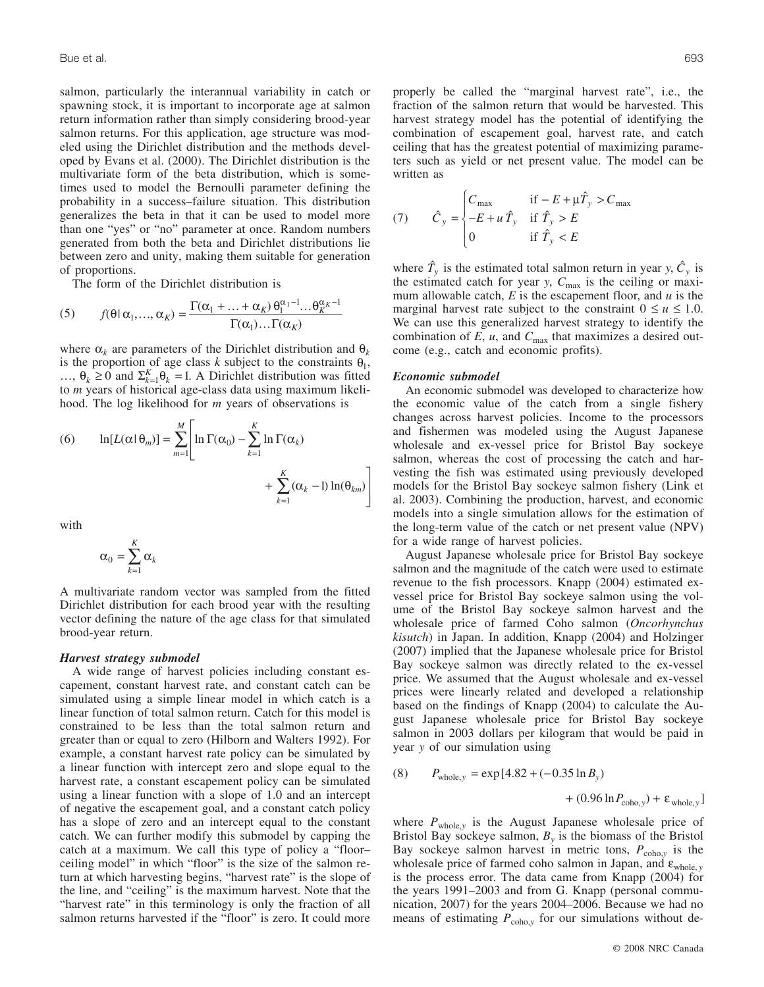salmon, particularly the interannual variability in catch or spawning stock, it is important to incorporate age at salmon return information rather than simply considering brood-year salmon returns. For this application, age structure was modeled using the Dirichlet distribution and the methods developed by Evans et al. (2000). The Dirichlet distribution is the multivariate form of the beta distribution, which is sometimes used to model the Bernoulli parameter defining the probability in a success–failure situation. This distribution generalizes the beta in that it can be used to model more than one "yes" or "no" parameter at once. Random numbers generated from both the beta and Dirichlet distributions lie between zero and unity, making them suitable for generation of proportions.

The form of the Dirichlet distribution is

(5) 
$$
f(\theta | \alpha_1, ..., \alpha_K) = \frac{\Gamma(\alpha_1 + ... + \alpha_K) \theta_1^{\alpha_1 - 1} ... \theta_K^{\alpha_K - 1}}{\Gamma(\alpha_1) ... \Gamma(\alpha_K)}
$$

where  $\alpha_k$  are parameters of the Dirichlet distribution and  $\theta_k$ is the proportion of age class *k* subject to the constraints  $\theta_1$ , ...,  $θ_k$  ≥ 0 and  $Σ_{k=1}^K θ_k = 1$ . A Dirichlet distribution was fitted to *m* years of historical age-class data using maximum likelihood. The log likelihood for *m* years of observations is

(6) 
$$
\ln[L(\alpha | \theta_m)] = \sum_{m=1}^{M} \left[ \ln \Gamma(\alpha_0) - \sum_{k=1}^{K} \ln \Gamma(\alpha_k) + \sum_{k=1}^{K} (\alpha_k - 1) \ln(\theta_{km}) \right]
$$

with

$$
\alpha_0 = \sum_{k=1}^K \alpha_k
$$

A multivariate random vector was sampled from the fitted Dirichlet distribution for each brood year with the resulting vector defining the nature of the age class for that simulated brood-year return.

#### *Harvest strategy submodel*

A wide range of harvest policies including constant escapement, constant harvest rate, and constant catch can be simulated using a simple linear model in which catch is a linear function of total salmon return. Catch for this model is constrained to be less than the total salmon return and greater than or equal to zero (Hilborn and Walters 1992). For example, a constant harvest rate policy can be simulated by a linear function with intercept zero and slope equal to the harvest rate, a constant escapement policy can be simulated using a linear function with a slope of 1.0 and an intercept of negative the escapement goal, and a constant catch policy has a slope of zero and an intercept equal to the constant catch. We can further modify this submodel by capping the catch at a maximum. We call this type of policy a "floor– ceiling model" in which "floor" is the size of the salmon return at which harvesting begins, "harvest rate" is the slope of the line, and "ceiling" is the maximum harvest. Note that the "harvest rate" in this terminology is only the fraction of all salmon returns harvested if the "floor" is zero. It could more properly be called the "marginal harvest rate", i.e., the fraction of the salmon return that would be harvested. This harvest strategy model has the potential of identifying the combination of escapement goal, harvest rate, and catch ceiling that has the greatest potential of maximizing parameters such as yield or net present value. The model can be written as

(7) 
$$
\hat{C}_y = \begin{cases} C_{\text{max}} & \text{if } -E + \mu \hat{T}_y > C_{\text{max}} \\ -E + u \hat{T}_y & \text{if } \hat{T}_y > E \\ 0 & \text{if } \hat{T}_y < E \end{cases}
$$

where  $\hat{T}_y$  is the estimated total salmon return in year *y*,  $\hat{C}_y$  is the estimated catch for year *y*,  $C_{\text{max}}$  is the ceiling or maximum allowable catch, *E* is the escapement floor, and *u* is the marginal harvest rate subject to the constraint  $0 \le u \le 1.0$ . We can use this generalized harvest strategy to identify the combination of  $E$ ,  $u$ , and  $C_{\text{max}}$  that maximizes a desired outcome (e.g., catch and economic profits).

#### *Economic submodel*

An economic submodel was developed to characterize how the economic value of the catch from a single fishery changes across harvest policies. Income to the processors and fishermen was modeled using the August Japanese wholesale and ex-vessel price for Bristol Bay sockeye salmon, whereas the cost of processing the catch and harvesting the fish was estimated using previously developed models for the Bristol Bay sockeye salmon fishery (Link et al. 2003). Combining the production, harvest, and economic models into a single simulation allows for the estimation of the long-term value of the catch or net present value (NPV) for a wide range of harvest policies.

August Japanese wholesale price for Bristol Bay sockeye salmon and the magnitude of the catch were used to estimate revenue to the fish processors. Knapp (2004) estimated exvessel price for Bristol Bay sockeye salmon using the volume of the Bristol Bay sockeye salmon harvest and the wholesale price of farmed Coho salmon (*Oncorhynchus kisutch*) in Japan. In addition, Knapp (2004) and Holzinger (2007) implied that the Japanese wholesale price for Bristol Bay sockeye salmon was directly related to the ex-vessel price. We assumed that the August wholesale and ex-vessel prices were linearly related and developed a relationship based on the findings of Knapp (2004) to calculate the August Japanese wholesale price for Bristol Bay sockeye salmon in 2003 dollars per kilogram that would be paid in year *y* of our simulation using

(8) 
$$
P_{\text{whole},y} = \exp[4.82 + (-0.35 \ln B_y)]
$$

 $+$  (0.96  $\ln P_{\text{coh}_v}$ ) +  $\varepsilon_{\text{whole}_v}$ 

where  $P_{whole, y}$  is the August Japanese wholesale price of Bristol Bay sockeye salmon,  $B<sub>y</sub>$  is the biomass of the Bristol Bay sockeye salmon harvest in metric tons,  $P_{\text{coh}_v}$  is the wholesale price of farmed coho salmon in Japan, and ε<sub>whole, *y*</sub> is the process error. The data came from Knapp (2004) for the years 1991–2003 and from G. Knapp (personal communication, 2007) for the years 2004–2006. Because we had no means of estimating  $P_{\text{coh}_y}$  for our simulations without de-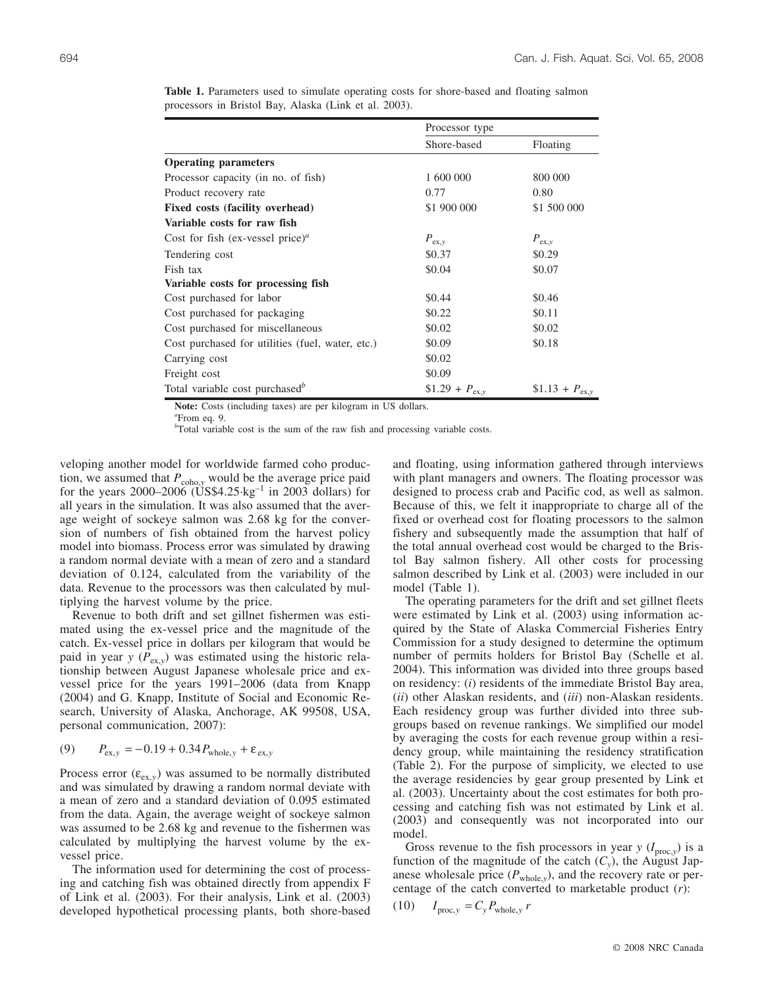|                                                     | Processor type      |                    |  |
|-----------------------------------------------------|---------------------|--------------------|--|
|                                                     | Shore-based         | Floating           |  |
| <b>Operating parameters</b>                         |                     |                    |  |
| Processor capacity (in no. of fish)                 | 1 600 000           | 800 000            |  |
| Product recovery rate                               | 0.77                | 0.80               |  |
| Fixed costs (facility overhead)                     | \$1 900 000         | \$1 500 000        |  |
| Variable costs for raw fish                         |                     |                    |  |
| Cost for fish (ex-vessel price) <sup><i>a</i></sup> | $P_{\text{ex},y}$   | $P_{\text{ex},y}$  |  |
| Tendering cost                                      | \$0.37              | \$0.29             |  |
| Fish tax                                            | \$0.04              | \$0.07             |  |
| Variable costs for processing fish                  |                     |                    |  |
| Cost purchased for labor                            | \$0.44              | \$0.46             |  |
| Cost purchased for packaging                        | \$0.22              | \$0.11             |  |
| Cost purchased for miscellaneous                    | \$0.02              | \$0.02             |  |
| Cost purchased for utilities (fuel, water, etc.)    | \$0.09              | \$0.18             |  |
| Carrying cost                                       | \$0.02              |                    |  |
| Freight cost                                        | \$0.09              |                    |  |
| Total variable cost purchased <sup>b</sup>          | $$1.29 + P_{ex,v}$$ | $$1.13 + P_{ex,y}$ |  |

**Table 1.** Parameters used to simulate operating costs for shore-based and floating salmon processors in Bristol Bay, Alaska (Link et al. 2003).

**Note:** Costs (including taxes) are per kilogram in US dollars. *<sup>a</sup>*

 ${}^{\alpha}$ From eq. 9.

*b* Total variable cost is the sum of the raw fish and processing variable costs.

veloping another model for worldwide farmed coho production, we assumed that  $P_{\text{coho},y}$  would be the average price paid for the years  $2000-2006$  (US\$4.25 $\cdot$ kg<sup>-1</sup> in 2003 dollars) for all years in the simulation. It was also assumed that the average weight of sockeye salmon was 2.68 kg for the conversion of numbers of fish obtained from the harvest policy model into biomass. Process error was simulated by drawing a random normal deviate with a mean of zero and a standard deviation of 0.124, calculated from the variability of the data. Revenue to the processors was then calculated by multiplying the harvest volume by the price.

Revenue to both drift and set gillnet fishermen was estimated using the ex-vessel price and the magnitude of the catch. Ex-vessel price in dollars per kilogram that would be paid in year *y* ( $P_{\text{ex},y}$ ) was estimated using the historic relationship between August Japanese wholesale price and exvessel price for the years 1991–2006 (data from Knapp (2004) and G. Knapp, Institute of Social and Economic Research, University of Alaska, Anchorage, AK 99508, USA, personal communication, 2007):

$$
(9) \qquad P_{\text{ex},y} = -0.19 + 0.34 P_{\text{whole},y} + \varepsilon_{\text{ex},y}
$$

Process error  $(\varepsilon_{\text{ex},y})$  was assumed to be normally distributed and was simulated by drawing a random normal deviate with a mean of zero and a standard deviation of 0.095 estimated from the data. Again, the average weight of sockeye salmon was assumed to be 2.68 kg and revenue to the fishermen was calculated by multiplying the harvest volume by the exvessel price.

The information used for determining the cost of processing and catching fish was obtained directly from appendix F of Link et al. (2003). For their analysis, Link et al. (2003) developed hypothetical processing plants, both shore-based and floating, using information gathered through interviews with plant managers and owners. The floating processor was designed to process crab and Pacific cod, as well as salmon. Because of this, we felt it inappropriate to charge all of the fixed or overhead cost for floating processors to the salmon fishery and subsequently made the assumption that half of the total annual overhead cost would be charged to the Bristol Bay salmon fishery. All other costs for processing salmon described by Link et al. (2003) were included in our model (Table 1).

The operating parameters for the drift and set gillnet fleets were estimated by Link et al. (2003) using information acquired by the State of Alaska Commercial Fisheries Entry Commission for a study designed to determine the optimum number of permits holders for Bristol Bay (Schelle et al. 2004). This information was divided into three groups based on residency: (*i*) residents of the immediate Bristol Bay area, (*ii*) other Alaskan residents, and (*iii*) non-Alaskan residents. Each residency group was further divided into three subgroups based on revenue rankings. We simplified our model by averaging the costs for each revenue group within a residency group, while maintaining the residency stratification (Table 2). For the purpose of simplicity, we elected to use the average residencies by gear group presented by Link et al. (2003). Uncertainty about the cost estimates for both processing and catching fish was not estimated by Link et al. (2003) and consequently was not incorporated into our model.

Gross revenue to the fish processors in year  $y$  ( $I_{\text{proc},y}$ ) is a function of the magnitude of the catch  $(C_y)$ , the August Japanese wholesale price  $(P_{whole,y})$ , and the recovery rate or percentage of the catch converted to marketable product (*r*):

$$
(10) \tIproc,y = Cy Pwhole,y r
$$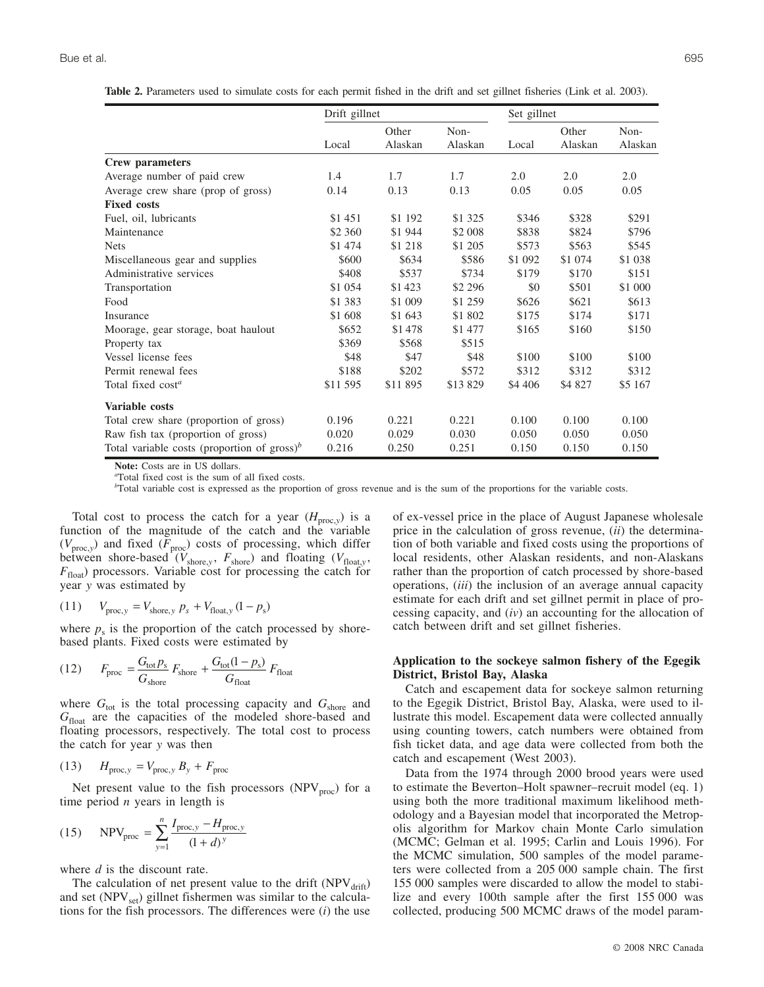| <b>Table 2.</b> Parameters used to simulate costs for each permit fished in the drift and set gillnet fisheries (Link et al. 2003). |  |  |
|-------------------------------------------------------------------------------------------------------------------------------------|--|--|
|-------------------------------------------------------------------------------------------------------------------------------------|--|--|

|                                                       | Drift gillnet |         |           | Set gillnet |         |         |
|-------------------------------------------------------|---------------|---------|-----------|-------------|---------|---------|
|                                                       |               | Other   | Non-      |             | Other   | Non-    |
|                                                       | Local         | Alaskan | Alaskan   | Local       | Alaskan | Alaskan |
| Crew parameters                                       |               |         |           |             |         |         |
| Average number of paid crew                           | 1.4           | 1.7     | 1.7       | 2.0         | 2.0     | 2.0     |
| Average crew share (prop of gross)                    | 0.14          | 0.13    | 0.13      | 0.05        | 0.05    | 0.05    |
| <b>Fixed costs</b>                                    |               |         |           |             |         |         |
| Fuel, oil, lubricants                                 | \$1 451       | \$1 192 | \$1 3 2 5 | \$346       | \$328   | \$291   |
| Maintenance                                           | \$2 360       | \$1944  | \$2 008   | \$838       | \$824   | \$796   |
| <b>Nets</b>                                           | \$1 474       | \$1 218 | \$1 205   | \$573       | \$563   | \$545   |
| Miscellaneous gear and supplies                       | \$600         | \$634   | \$586     | \$1 092     | \$1 074 | \$1 038 |
| Administrative services                               | \$408         | \$537   | \$734     | \$179       | \$170   | \$151   |
| Transportation                                        | \$1 054       | \$1423  | \$2 296   | \$0         | \$501   | \$1 000 |
| Food                                                  | \$1 383       | \$1 009 | \$1 259   | \$626       | \$621   | \$613   |
| Insurance                                             | \$1 608       | \$1 643 | \$1 802   | \$175       | \$174   | \$171   |
| Moorage, gear storage, boat haulout                   | \$652         | \$1478  | \$1477    | \$165       | \$160   | \$150   |
| Property tax                                          | \$369         | \$568   | \$515     |             |         |         |
| Vessel license fees                                   | \$48          | \$47    | \$48      | \$100       | \$100   | \$100   |
| Permit renewal fees                                   | \$188         | \$202   | \$572     | \$312       | \$312   | \$312   |
| Total fixed cost <sup>a</sup>                         | \$11 595      | \$11895 | \$13829   | \$4 406     | \$4 827 | \$5 167 |
| Variable costs                                        |               |         |           |             |         |         |
| Total crew share (proportion of gross)                | 0.196         | 0.221   | 0.221     | 0.100       | 0.100   | 0.100   |
| Raw fish tax (proportion of gross)                    | 0.020         | 0.029   | 0.030     | 0.050       | 0.050   | 0.050   |
| Total variable costs (proportion of $\text{gross})^b$ | 0.216         | 0.250   | 0.251     | 0.150       | 0.150   | 0.150   |

**Note:** Costs are in US dollars. *<sup>a</sup>*

Total fixed cost is the sum of all fixed costs.

*b* Total variable cost is expressed as the proportion of gross revenue and is the sum of the proportions for the variable costs.

Total cost to process the catch for a year  $(H_{\text{proc},y})$  is a function of the magnitude of the catch and the variable  $(V_{\text{proc},y})$  and fixed  $(F_{\text{proc}})$  costs of processing, which differ between shore-based  $(V_{\text{shore},y}, F_{\text{shore}})$  and floating  $(V_{\text{float},y},$  $F_{\text{float}}$ ) processors. Variable cost for processing the catch for year *y* was estimated by

$$
(11) \tV_{\text{proc}, y} = V_{\text{shore}, y} p_s + V_{\text{float}, y} (1 - p_s)
$$

where  $p_s$  is the proportion of the catch processed by shorebased plants. Fixed costs were estimated by

$$
(12) \qquad F_{\text{proc}} = \frac{G_{\text{tot}} p_{\text{s}}}{G_{\text{shore}}} F_{\text{shore}} + \frac{G_{\text{tot}} (1 - p_{\text{s}})}{G_{\text{float}}} F_{\text{float}}
$$

where  $G<sub>tot</sub>$  is the total processing capacity and  $G<sub>shore</sub>$  and  $G<sub>float</sub>$  are the capacities of the modeled shore-based and floating processors, respectively. The total cost to process the catch for year *y* was then

$$
(13) \tHproc, y = Vproc, y By + Fproc
$$

Net present value to the fish processors  $(NPV<sub>proc</sub>)$  for a time period *n* years in length is

(15) 
$$
NPV_{\text{proc}} = \sum_{y=1}^{n} \frac{I_{\text{proc},y} - H_{\text{proc},y}}{(1+d)^{y}}
$$

where *d* is the discount rate.

The calculation of net present value to the drift  $NPV<sub>drift</sub>$ and set  $(NPV<sub>set</sub>)$  gillnet fishermen was similar to the calculations for the fish processors. The differences were (*i*) the use of ex-vessel price in the place of August Japanese wholesale price in the calculation of gross revenue, (*ii*) the determination of both variable and fixed costs using the proportions of local residents, other Alaskan residents, and non-Alaskans rather than the proportion of catch processed by shore-based operations, (*iii*) the inclusion of an average annual capacity estimate for each drift and set gillnet permit in place of processing capacity, and (*iv*) an accounting for the allocation of catch between drift and set gillnet fisheries.

# **Application to the sockeye salmon fishery of the Egegik District, Bristol Bay, Alaska**

Catch and escapement data for sockeye salmon returning to the Egegik District, Bristol Bay, Alaska, were used to illustrate this model. Escapement data were collected annually using counting towers, catch numbers were obtained from fish ticket data, and age data were collected from both the catch and escapement (West 2003).

Data from the 1974 through 2000 brood years were used to estimate the Beverton–Holt spawner–recruit model (eq. 1) using both the more traditional maximum likelihood methodology and a Bayesian model that incorporated the Metropolis algorithm for Markov chain Monte Carlo simulation (MCMC; Gelman et al. 1995; Carlin and Louis 1996). For the MCMC simulation, 500 samples of the model parameters were collected from a 205 000 sample chain. The first 155 000 samples were discarded to allow the model to stabilize and every 100th sample after the first 155 000 was collected, producing 500 MCMC draws of the model param-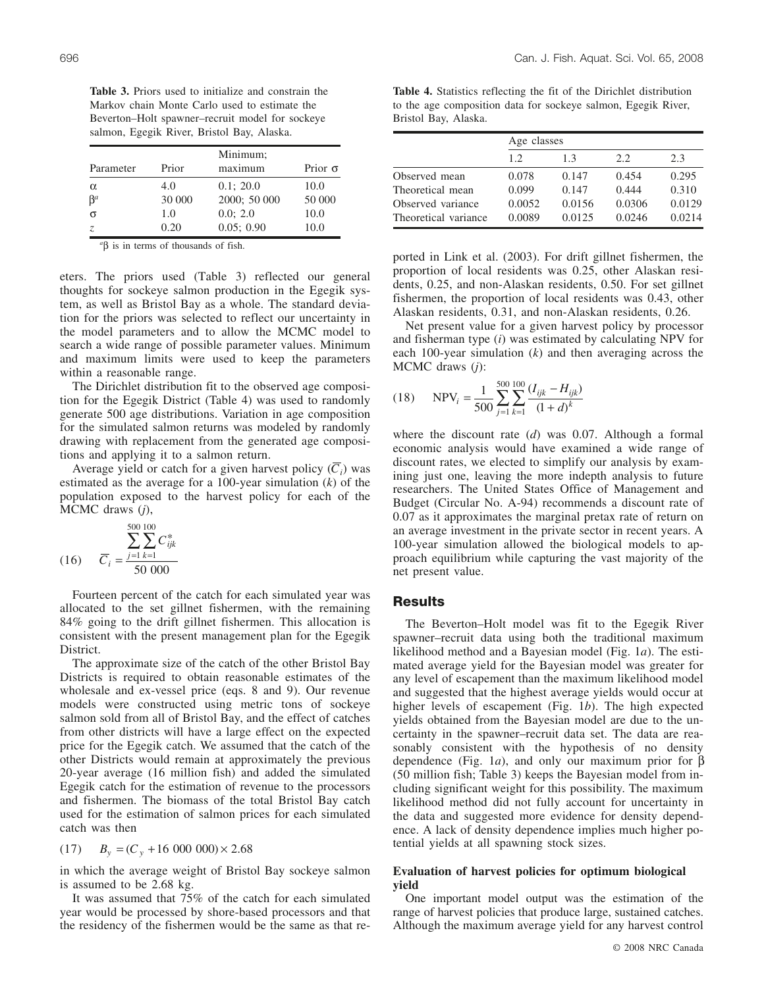**Table 3.** Priors used to initialize and constrain the Markov chain Monte Carlo used to estimate the Beverton–Holt spawner–recruit model for sockeye salmon, Egegik River, Bristol Bay, Alaska.

|           |        | Minimum;     |                |
|-----------|--------|--------------|----------------|
| Parameter | Prior  | maximum      | Prior $\sigma$ |
| α         | 4.0    | 0.1; 20.0    | 10.0           |
| $\beta^a$ | 30 000 | 2000; 50 000 | 50 000         |
| ᡴ         | 1.0    | 0.0; 2.0     | 10.0           |
|           | 0.20   | 0.05; 0.90   | 10.0           |

*a* β is in terms of thousands of fish.

eters. The priors used (Table 3) reflected our general thoughts for sockeye salmon production in the Egegik system, as well as Bristol Bay as a whole. The standard deviation for the priors was selected to reflect our uncertainty in the model parameters and to allow the MCMC model to search a wide range of possible parameter values. Minimum and maximum limits were used to keep the parameters within a reasonable range.

The Dirichlet distribution fit to the observed age composition for the Egegik District (Table 4) was used to randomly generate 500 age distributions. Variation in age composition for the simulated salmon returns was modeled by randomly drawing with replacement from the generated age compositions and applying it to a salmon return.

Average yield or catch for a given harvest policy  $(C_i)$  was estimated as the average for a 100-year simulation (*k*) of the population exposed to the harvest policy for each of the MCMC draws (*j*),

(16) 
$$
\overline{C}_i = \frac{\sum_{j=1}^{500} \sum_{k=1}^{100} C_{ijk}^*}{50\ 000}
$$

Fourteen percent of the catch for each simulated year was allocated to the set gillnet fishermen, with the remaining 84% going to the drift gillnet fishermen. This allocation is consistent with the present management plan for the Egegik District.

The approximate size of the catch of the other Bristol Bay Districts is required to obtain reasonable estimates of the wholesale and ex-vessel price (eqs. 8 and 9). Our revenue models were constructed using metric tons of sockeye salmon sold from all of Bristol Bay, and the effect of catches from other districts will have a large effect on the expected price for the Egegik catch. We assumed that the catch of the other Districts would remain at approximately the previous 20-year average (16 million fish) and added the simulated Egegik catch for the estimation of revenue to the processors and fishermen. The biomass of the total Bristol Bay catch used for the estimation of salmon prices for each simulated catch was then

$$
(17) \t By = (Cy + 16\ 000\ 000) \times 2.68
$$

in which the average weight of Bristol Bay sockeye salmon is assumed to be 2.68 kg.

It was assumed that 75% of the catch for each simulated year would be processed by shore-based processors and that the residency of the fishermen would be the same as that re-

**Table 4.** Statistics reflecting the fit of the Dirichlet distribution to the age composition data for sockeye salmon, Egegik River, Bristol Bay, Alaska.

|                      | Age classes |        |        |        |
|----------------------|-------------|--------|--------|--------|
|                      | 1.2.        | 1.3    | 2.2.   | 2.3    |
| Observed mean        | 0.078       | 0.147  | 0.454  | 0.295  |
| Theoretical mean     | 0.099       | 0.147  | 0.444  | 0.310  |
| Observed variance    | 0.0052      | 0.0156 | 0.0306 | 0.0129 |
| Theoretical variance | 0.0089      | 0.0125 | 0.0246 | 0.0214 |

ported in Link et al. (2003). For drift gillnet fishermen, the proportion of local residents was 0.25, other Alaskan residents, 0.25, and non-Alaskan residents, 0.50. For set gillnet fishermen, the proportion of local residents was 0.43, other Alaskan residents, 0.31, and non-Alaskan residents, 0.26.

Net present value for a given harvest policy by processor and fisherman type (*i*) was estimated by calculating NPV for each 100-year simulation (*k*) and then averaging across the MCMC draws (*j*):

$$
(18) \quad \text{NPV}_i = \frac{1}{500} \sum_{j=1}^{500} \sum_{k=1}^{100} \frac{(I_{ijk} - H_{ijk})}{(1+d)^k}
$$

where the discount rate (*d*) was 0.07. Although a formal economic analysis would have examined a wide range of discount rates, we elected to simplify our analysis by examining just one, leaving the more indepth analysis to future researchers. The United States Office of Management and Budget (Circular No. A-94) recommends a discount rate of 0.07 as it approximates the marginal pretax rate of return on an average investment in the private sector in recent years. A 100-year simulation allowed the biological models to approach equilibrium while capturing the vast majority of the net present value.

# **Results**

The Beverton–Holt model was fit to the Egegik River spawner–recruit data using both the traditional maximum likelihood method and a Bayesian model (Fig. 1*a*). The estimated average yield for the Bayesian model was greater for any level of escapement than the maximum likelihood model and suggested that the highest average yields would occur at higher levels of escapement (Fig. 1*b*). The high expected yields obtained from the Bayesian model are due to the uncertainty in the spawner–recruit data set. The data are reasonably consistent with the hypothesis of no density dependence (Fig. 1*a*), and only our maximum prior for β (50 million fish; Table 3) keeps the Bayesian model from including significant weight for this possibility. The maximum likelihood method did not fully account for uncertainty in the data and suggested more evidence for density dependence. A lack of density dependence implies much higher potential yields at all spawning stock sizes.

# **Evaluation of harvest policies for optimum biological yield**

One important model output was the estimation of the range of harvest policies that produce large, sustained catches. Although the maximum average yield for any harvest control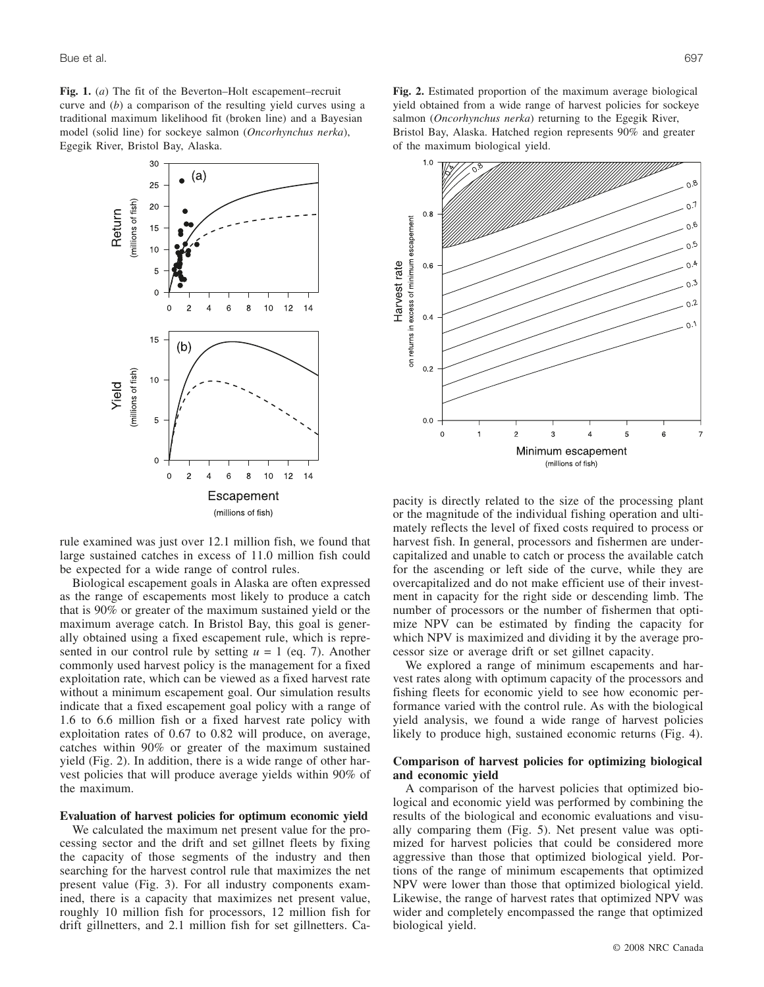**Fig. 1.** (*a*) The fit of the Beverton–Holt escapement–recruit curve and (*b*) a comparison of the resulting yield curves using a traditional maximum likelihood fit (broken line) and a Bayesian model (solid line) for sockeye salmon (*Oncorhynchus nerka*), Egegik River, Bristol Bay, Alaska.



rule examined was just over 12.1 million fish, we found that large sustained catches in excess of 11.0 million fish could be expected for a wide range of control rules.

Biological escapement goals in Alaska are often expressed as the range of escapements most likely to produce a catch that is 90% or greater of the maximum sustained yield or the maximum average catch. In Bristol Bay, this goal is generally obtained using a fixed escapement rule, which is represented in our control rule by setting  $u = 1$  (eq. 7). Another commonly used harvest policy is the management for a fixed exploitation rate, which can be viewed as a fixed harvest rate without a minimum escapement goal. Our simulation results indicate that a fixed escapement goal policy with a range of 1.6 to 6.6 million fish or a fixed harvest rate policy with exploitation rates of 0.67 to 0.82 will produce, on average, catches within 90% or greater of the maximum sustained yield (Fig. 2). In addition, there is a wide range of other harvest policies that will produce average yields within 90% of the maximum.

#### **Evaluation of harvest policies for optimum economic yield**

We calculated the maximum net present value for the processing sector and the drift and set gillnet fleets by fixing the capacity of those segments of the industry and then searching for the harvest control rule that maximizes the net present value (Fig. 3). For all industry components examined, there is a capacity that maximizes net present value, roughly 10 million fish for processors, 12 million fish for drift gillnetters, and 2.1 million fish for set gillnetters. Ca-

**Fig. 2.** Estimated proportion of the maximum average biological yield obtained from a wide range of harvest policies for sockeye salmon (*Oncorhynchus nerka*) returning to the Egegik River, Bristol Bay, Alaska. Hatched region represents 90% and greater of the maximum biological yield.



pacity is directly related to the size of the processing plant or the magnitude of the individual fishing operation and ultimately reflects the level of fixed costs required to process or harvest fish. In general, processors and fishermen are undercapitalized and unable to catch or process the available catch for the ascending or left side of the curve, while they are overcapitalized and do not make efficient use of their investment in capacity for the right side or descending limb. The number of processors or the number of fishermen that optimize NPV can be estimated by finding the capacity for which NPV is maximized and dividing it by the average processor size or average drift or set gillnet capacity.

We explored a range of minimum escapements and harvest rates along with optimum capacity of the processors and fishing fleets for economic yield to see how economic performance varied with the control rule. As with the biological yield analysis, we found a wide range of harvest policies likely to produce high, sustained economic returns (Fig. 4).

## **Comparison of harvest policies for optimizing biological and economic yield**

A comparison of the harvest policies that optimized biological and economic yield was performed by combining the results of the biological and economic evaluations and visually comparing them (Fig. 5). Net present value was optimized for harvest policies that could be considered more aggressive than those that optimized biological yield. Portions of the range of minimum escapements that optimized NPV were lower than those that optimized biological yield. Likewise, the range of harvest rates that optimized NPV was wider and completely encompassed the range that optimized biological yield.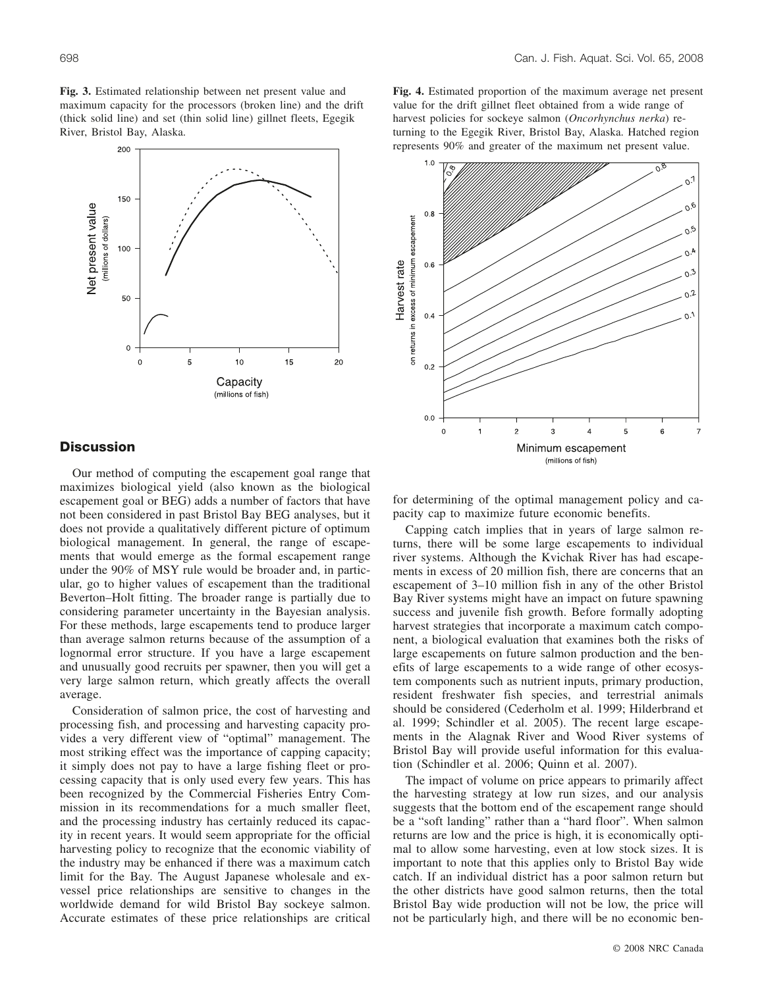**Fig. 3.** Estimated relationship between net present value and maximum capacity for the processors (broken line) and the drift (thick solid line) and set (thin solid line) gillnet fleets, Egegik River, Bristol Bay, Alaska.



# **Discussion**

Our method of computing the escapement goal range that maximizes biological yield (also known as the biological escapement goal or BEG) adds a number of factors that have not been considered in past Bristol Bay BEG analyses, but it does not provide a qualitatively different picture of optimum biological management. In general, the range of escapements that would emerge as the formal escapement range under the 90% of MSY rule would be broader and, in particular, go to higher values of escapement than the traditional Beverton–Holt fitting. The broader range is partially due to considering parameter uncertainty in the Bayesian analysis. For these methods, large escapements tend to produce larger than average salmon returns because of the assumption of a lognormal error structure. If you have a large escapement and unusually good recruits per spawner, then you will get a very large salmon return, which greatly affects the overall average.

Consideration of salmon price, the cost of harvesting and processing fish, and processing and harvesting capacity provides a very different view of "optimal" management. The most striking effect was the importance of capping capacity; it simply does not pay to have a large fishing fleet or processing capacity that is only used every few years. This has been recognized by the Commercial Fisheries Entry Commission in its recommendations for a much smaller fleet, and the processing industry has certainly reduced its capacity in recent years. It would seem appropriate for the official harvesting policy to recognize that the economic viability of the industry may be enhanced if there was a maximum catch limit for the Bay. The August Japanese wholesale and exvessel price relationships are sensitive to changes in the worldwide demand for wild Bristol Bay sockeye salmon. Accurate estimates of these price relationships are critical **Fig. 4.** Estimated proportion of the maximum average net present value for the drift gillnet fleet obtained from a wide range of harvest policies for sockeye salmon (*Oncorhynchus nerka*) returning to the Egegik River, Bristol Bay, Alaska. Hatched region represents 90% and greater of the maximum net present value.



for determining of the optimal management policy and capacity cap to maximize future economic benefits.

Capping catch implies that in years of large salmon returns, there will be some large escapements to individual river systems. Although the Kvichak River has had escapements in excess of 20 million fish, there are concerns that an escapement of 3–10 million fish in any of the other Bristol Bay River systems might have an impact on future spawning success and juvenile fish growth. Before formally adopting harvest strategies that incorporate a maximum catch component, a biological evaluation that examines both the risks of large escapements on future salmon production and the benefits of large escapements to a wide range of other ecosystem components such as nutrient inputs, primary production, resident freshwater fish species, and terrestrial animals should be considered (Cederholm et al. 1999; Hilderbrand et al. 1999; Schindler et al. 2005). The recent large escapements in the Alagnak River and Wood River systems of Bristol Bay will provide useful information for this evaluation (Schindler et al. 2006; Quinn et al. 2007).

The impact of volume on price appears to primarily affect the harvesting strategy at low run sizes, and our analysis suggests that the bottom end of the escapement range should be a "soft landing" rather than a "hard floor". When salmon returns are low and the price is high, it is economically optimal to allow some harvesting, even at low stock sizes. It is important to note that this applies only to Bristol Bay wide catch. If an individual district has a poor salmon return but the other districts have good salmon returns, then the total Bristol Bay wide production will not be low, the price will not be particularly high, and there will be no economic ben-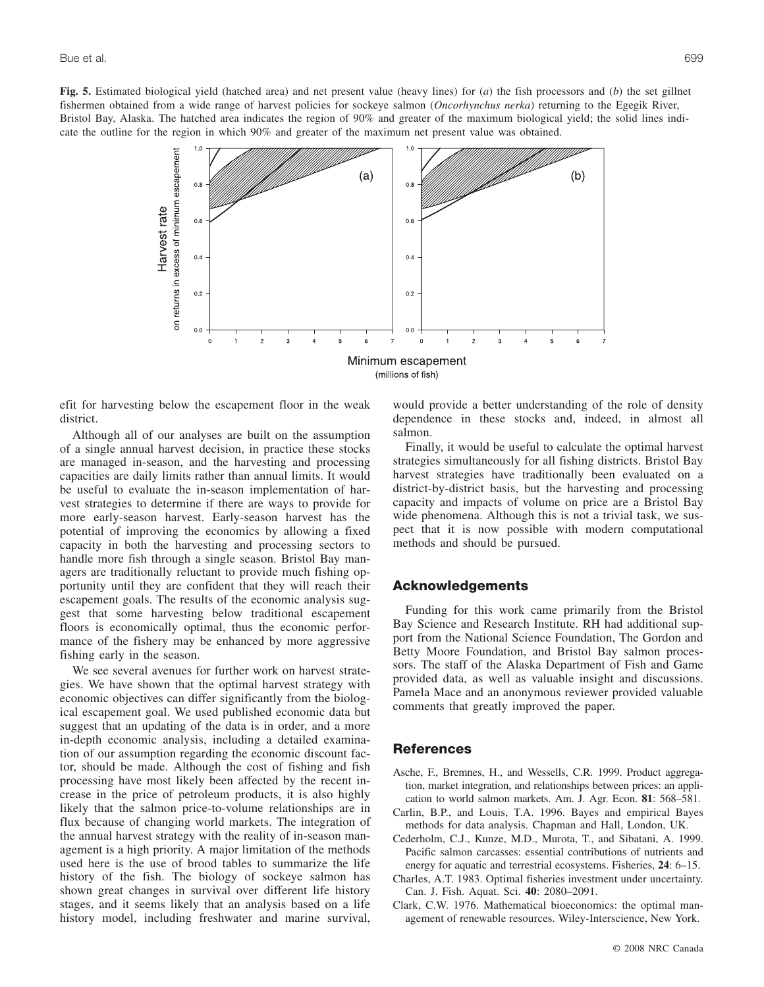**Fig. 5.** Estimated biological yield (hatched area) and net present value (heavy lines) for (*a*) the fish processors and (*b*) the set gillnet fishermen obtained from a wide range of harvest policies for sockeye salmon (*Oncorhynchus nerka*) returning to the Egegik River, Bristol Bay, Alaska. The hatched area indicates the region of 90% and greater of the maximum biological yield; the solid lines indicate the outline for the region in which 90% and greater of the maximum net present value was obtained.



efit for harvesting below the escapement floor in the weak district.

Although all of our analyses are built on the assumption of a single annual harvest decision, in practice these stocks are managed in-season, and the harvesting and processing capacities are daily limits rather than annual limits. It would be useful to evaluate the in-season implementation of harvest strategies to determine if there are ways to provide for more early-season harvest. Early-season harvest has the potential of improving the economics by allowing a fixed capacity in both the harvesting and processing sectors to handle more fish through a single season. Bristol Bay managers are traditionally reluctant to provide much fishing opportunity until they are confident that they will reach their escapement goals. The results of the economic analysis suggest that some harvesting below traditional escapement floors is economically optimal, thus the economic performance of the fishery may be enhanced by more aggressive fishing early in the season.

We see several avenues for further work on harvest strategies. We have shown that the optimal harvest strategy with economic objectives can differ significantly from the biological escapement goal. We used published economic data but suggest that an updating of the data is in order, and a more in-depth economic analysis, including a detailed examination of our assumption regarding the economic discount factor, should be made. Although the cost of fishing and fish processing have most likely been affected by the recent increase in the price of petroleum products, it is also highly likely that the salmon price-to-volume relationships are in flux because of changing world markets. The integration of the annual harvest strategy with the reality of in-season management is a high priority. A major limitation of the methods used here is the use of brood tables to summarize the life history of the fish. The biology of sockeye salmon has shown great changes in survival over different life history stages, and it seems likely that an analysis based on a life history model, including freshwater and marine survival, would provide a better understanding of the role of density dependence in these stocks and, indeed, in almost all salmon.

Finally, it would be useful to calculate the optimal harvest strategies simultaneously for all fishing districts. Bristol Bay harvest strategies have traditionally been evaluated on a district-by-district basis, but the harvesting and processing capacity and impacts of volume on price are a Bristol Bay wide phenomena. Although this is not a trivial task, we suspect that it is now possible with modern computational methods and should be pursued.

# **Acknowledgements**

Funding for this work came primarily from the Bristol Bay Science and Research Institute. RH had additional support from the National Science Foundation, The Gordon and Betty Moore Foundation, and Bristol Bay salmon processors. The staff of the Alaska Department of Fish and Game provided data, as well as valuable insight and discussions. Pamela Mace and an anonymous reviewer provided valuable comments that greatly improved the paper.

## **References**

- Asche, F., Bremnes, H., and Wessells, C.R. 1999. Product aggregation, market integration, and relationships between prices: an application to world salmon markets. Am. J. Agr. Econ. **81**: 568–581.
- Carlin, B.P., and Louis, T.A. 1996. Bayes and empirical Bayes methods for data analysis. Chapman and Hall, London, UK.
- Cederholm, C.J., Kunze, M.D., Murota, T., and Sibatani, A. 1999. Pacific salmon carcasses: essential contributions of nutrients and energy for aquatic and terrestrial ecosystems. Fisheries, **24**: 6–15.
- Charles, A.T. 1983. Optimal fisheries investment under uncertainty. Can. J. Fish. Aquat. Sci. **40**: 2080–2091.
- Clark, C.W. 1976. Mathematical bioeconomics: the optimal management of renewable resources. Wiley-Interscience, New York.